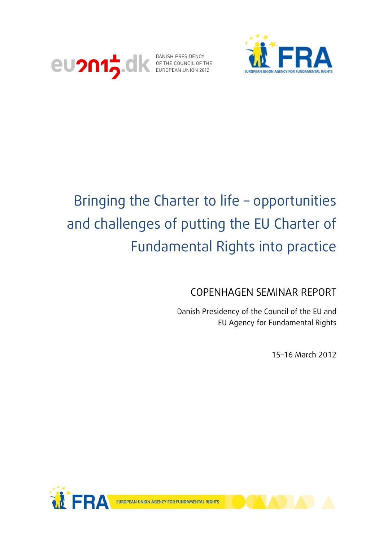



# Bringing the Charter to life – opportunities and challenges of putting the EU Charter of Fundamental Rights into practice

COPENHAGEN SEMINAR REPORT

Danish Presidency of the Council of the EU and EU Agency for Fundamental Rights

15–16 March 2012



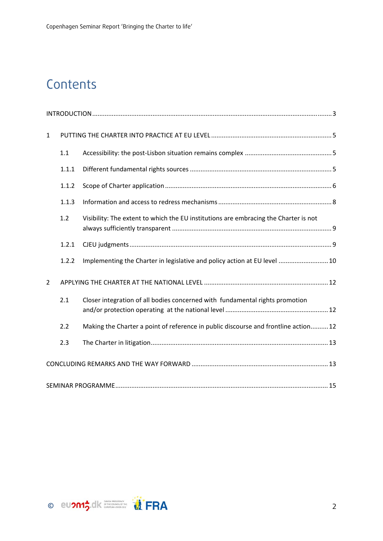## **Contents**

| $\mathbf{1}$   |       |                                                                                      |  |  |
|----------------|-------|--------------------------------------------------------------------------------------|--|--|
|                | 1.1   |                                                                                      |  |  |
|                | 1.1.1 |                                                                                      |  |  |
|                | 1.1.2 |                                                                                      |  |  |
|                | 1.1.3 |                                                                                      |  |  |
|                | 1.2   | Visibility: The extent to which the EU institutions are embracing the Charter is not |  |  |
|                | 1.2.1 |                                                                                      |  |  |
|                | 1.2.2 | Implementing the Charter in legislative and policy action at EU level  10            |  |  |
| $\overline{2}$ |       |                                                                                      |  |  |
|                | 2.1   | Closer integration of all bodies concerned with fundamental rights promotion         |  |  |
|                | 2.2   | Making the Charter a point of reference in public discourse and frontline action12   |  |  |
|                | 2.3   |                                                                                      |  |  |
|                |       |                                                                                      |  |  |
|                |       |                                                                                      |  |  |

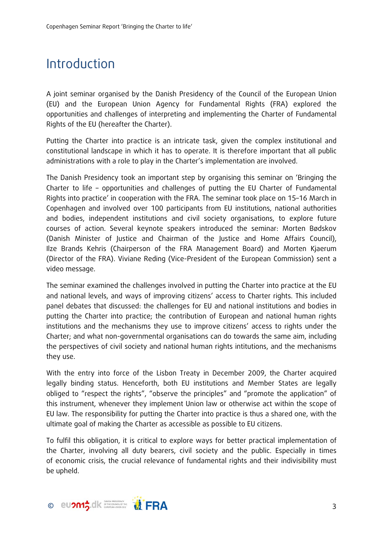## Introduction

A joint seminar organised by the Danish Presidency of the Council of the European Union (EU) and the European Union Agency for Fundamental Rights (FRA) explored the opportunities and challenges of interpreting and implementing the Charter of Fundamental Rights of the EU (hereafter the Charter).

Putting the Charter into practice is an intricate task, given the complex institutional and constitutional landscape in which it has to operate. It is therefore important that all public administrations with a role to play in the Charter's implementation are involved.

The Danish Presidency took an important step by organising this seminar on 'Bringing the Charter to life – opportunities and challenges of putting the EU Charter of Fundamental Rights into practice' in cooperation with the FRA. The seminar took place on 15–16 March in Copenhagen and involved over 100 participants from EU institutions, national authorities and bodies, independent institutions and civil society organisations, to explore future courses of action. Several keynote speakers introduced the seminar: Morten Bødskov (Danish Minister of Justice and Chairman of the Justice and Home Affairs Council), Ilze Brands Kehris (Chairperson of the FRA Management Board) and Morten Kjaerum (Director of the FRA). Viviane Reding (Vice-President of the European Commission) sent a video message.

The seminar examined the challenges involved in putting the Charter into practice at the EU and national levels, and ways of improving citizens' access to Charter rights. This included panel debates that discussed: the challenges for EU and national institutions and bodies in putting the Charter into practice; the contribution of European and national human rights institutions and the mechanisms they use to improve citizens' access to rights under the Charter; and what non-governmental organisations can do towards the same aim, including the perspectives of civil society and national human rights intitutions, and the mechanisms they use.

With the entry into force of the Lisbon Treaty in December 2009, the Charter acquired legally binding status. Henceforth, both EU institutions and Member States are legally obliged to "respect the rights", "observe the principles" and "promote the application" of this instrument, whenever they implement Union law or otherwise act within the scope of EU law. The responsibility for putting the Charter into practice is thus a shared one, with the ultimate goal of making the Charter as accessible as possible to EU citizens.

To fulfil this obligation, it is critical to explore ways for better practical implementation of the Charter, involving all duty bearers, civil society and the public. Especially in times of economic crisis, the crucial relevance of fundamental rights and their indivisibility must be upheld.

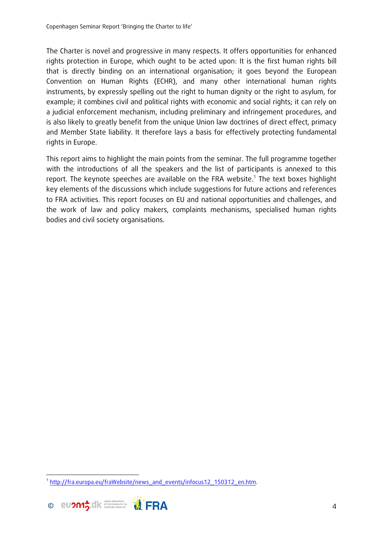The Charter is novel and progressive in many respects. It offers opportunities for enhanced rights protection in Europe, which ought to be acted upon: It is the first human rights bill that is directly binding on an international organisation; it goes beyond the European Convention on Human Rights (ECHR), and many other international human rights instruments, by expressly spelling out the right to human dignity or the right to asylum, for example; it combines civil and political rights with economic and social rights; it can rely on a judicial enforcement mechanism, including preliminary and infringement procedures, and is also likely to greatly benefit from the unique Union law doctrines of direct effect, primacy and Member State liability. It therefore lays a basis for effectively protecting fundamental rights in Europe.

This report aims to highlight the main points from the seminar. The full programme together with the introductions of all the speakers and the list of participants is annexed to this report. The keynote speeches are available on the FRA website.<sup>1</sup> The text boxes highlight key elements of the discussions which include suggestions for future actions and references to FRA activities. This report focuses on EU and national opportunities and challenges, and the work of law and policy makers, complaints mechanisms, specialised human rights bodies and civil society organisations.

 <sup>1</sup> http://fra.europa.eu/fraWebsite/news\_and\_events/infocus12\_150312\_en.htm.

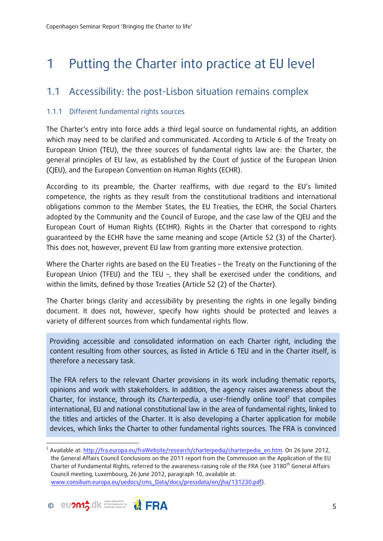## 1 Putting the Charter into practice at EU level

### 1.1 Accessibility: the post-Lisbon situation remains complex

#### 1.1.1 Different fundamental rights sources

The Charter's entry into force adds a third legal source on fundamental rights, an addition which may need to be clarified and communicated. According to Article 6 of the Treaty on European Union (TEU), the three sources of fundamental rights law are: the Charter, the general principles of EU law, as established by the Court of Justice of the European Union (CJEU), and the European Convention on Human Rights (ECHR).

According to its preamble, the Charter reaffirms, with due regard to the EU's limited competence, the rights as they result from the constitutional traditions and international obligations common to the Member States, the EU Treaties, the ECHR, the Social Charters adopted by the Community and the Council of Europe, and the case law of the CJEU and the European Court of Human Rights (ECtHR). Rights in the Charter that correspond to rights guaranteed by the ECHR have the same meaning and scope (Article 52 (3) of the Charter). This does not, however, prevent EU law from granting more extensive protection.

Where the Charter rights are based on the EU Treaties – the Treaty on the Functioning of the European Union (TFEU) and the TEU –, they shall be exercised under the conditions, and within the limits, defined by those Treaties (Article 52 (2) of the Charter).

The Charter brings clarity and accessibility by presenting the rights in one legally binding document. It does not, however, specify how rights should be protected and leaves a variety of different sources from which fundamental rights flow.

Providing accessible and consolidated information on each Charter right, including the content resulting from other sources, as listed in Article 6 TEU and in the Charter itself, is therefore a necessary task.

The FRA refers to the relevant Charter provisions in its work including thematic reports, opinions and work with stakeholders. In addition, the agency raises awareness about the Charter, for instance, through its *Charterpedia*, a user-friendly online tool<sup>2</sup> that compiles international, EU and national constitutional law in the area of fundamental rights, linked to the titles and articles of the Charter. It is also developing a Charter application for mobile devices, which links the Charter to other fundamental rights sources. The FRA is convinced

<sup>&</sup>lt;sup>2</sup> Available at: http://fra.europa.eu/fraWebsite/research/charterpedia/charterpedia\_en.htm. On 26 June 2012, the General Affairs Council Conclusions on the 2011 report from the Commission on the Application of the EU Charter of Fundamental Rights, referred to the awareness-raising role of the FRA (see 3180<sup>th</sup> General Affairs Council meeting, Luxembourg, 26 June 2012, paragraph 10, available at: www.consilium.europa.eu/uedocs/cms\_Data/docs/pressdata/en/jha/131230.pdf).

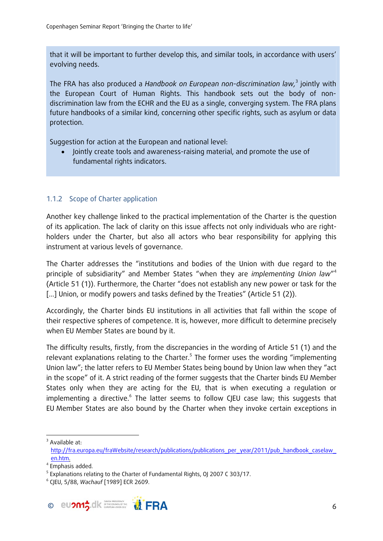that it will be important to further develop this, and similar tools, in accordance with users' evolving needs.

The FRA has also produced a *Handbook on European non-discrimination law,*<sup>3</sup> jointly with the European Court of Human Rights. This handbook sets out the body of nondiscrimination law from the ECHR and the EU as a single, converging system. The FRA plans future handbooks of a similar kind, concerning other specific rights, such as asylum or data protection.

Suggestion for action at the European and national level:

 Jointly create tools and awareness-raising material, and promote the use of fundamental rights indicators.

#### 1.1.2 Scope of Charter application

Another key challenge linked to the practical implementation of the Charter is the question of its application. The lack of clarity on this issue affects not only individuals who are rightholders under the Charter, but also all actors who bear responsibility for applying this instrument at various levels of governance.

The Charter addresses the "institutions and bodies of the Union with due regard to the principle of subsidiarity" and Member States "when they are *implementing Union law*" 4 (Article 51 (1)). Furthermore, the Charter "does not establish any new power or task for the [...] Union, or modify powers and tasks defined by the Treaties" (Article 51 (2)).

Accordingly, the Charter binds EU institutions in all activities that fall within the scope of their respective spheres of competence. It is, however, more difficult to determine precisely when EU Member States are bound by it.

The difficulty results, firstly, from the discrepancies in the wording of Article 51 (1) and the relevant explanations relating to the Charter.<sup>5</sup> The former uses the wording "implementing Union law"; the latter refers to EU Member States being bound by Union law when they "act in the scope" of it. A strict reading of the former suggests that the Charter binds EU Member States only when they are acting for the EU, that is when executing a regulation or implementing a directive.<sup>6</sup> The latter seems to follow CJEU case law; this suggests that EU Member States are also bound by the Charter when they invoke certain exceptions in



<sup>&</sup>lt;sup>3</sup> Available at: http://fra.europa.eu/fraWebsite/research/publications/publications\_per\_year/2011/pub\_handbook\_caselaw\_ en.htm. 4

<sup>&</sup>lt;sup>4</sup> Emphasis added.

 $^5$  Explanations relating to the Charter of Fundamental Rights, OJ 2007 C 303/17.<br>6 CIEU E (88, Washauf I1080) ECR 2600.

CJEU, 5/88, *Wachauf* [1989] ECR 2609.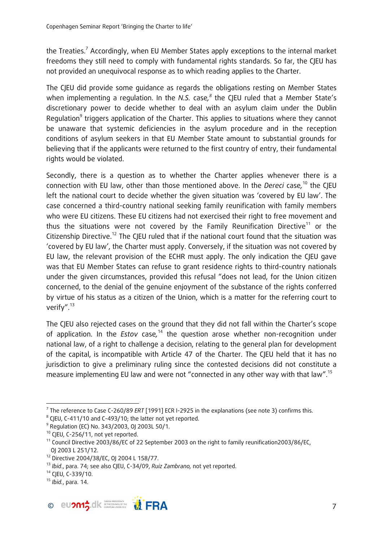the Treaties.<sup>7</sup> Accordingly, when EU Member States apply exceptions to the internal market freedoms they still need to comply with fundamental rights standards. So far, the CJEU has not provided an unequivocal response as to which reading applies to the Charter.

The CJEU did provide some guidance as regards the obligations resting on Member States when implementing a regulation. In the *N.S.* case*, 8* the CJEU ruled that a Member State's discretionary power to decide whether to deal with an asylum claim under the Dublin Regulation<sup>9</sup> triggers application of the Charter. This applies to situations where they cannot be unaware that systemic deficiencies in the asylum procedure and in the reception conditions of asylum seekers in that EU Member State amount to substantial grounds for believing that if the applicants were returned to the first country of entry, their fundamental rights would be violated.

Secondly, there is a question as to whether the Charter applies whenever there is a connection with EU law, other than those mentioned above. In the *Dereci* case*,* 10 the CJEU left the national court to decide whether the given situation was 'covered by EU law'. The case concerned a third-country national seeking family reunification with family members who were EU citizens. These EU citizens had not exercised their right to free movement and thus the situations were not covered by the Family Reunification Directive<sup>11</sup> or the Citizenship Directive.<sup>12</sup> The CIEU ruled that if the national court found that the situation was 'covered by EU law', the Charter must apply. Conversely, if the situation was not covered by EU law, the relevant provision of the ECHR must apply. The only indication the CJEU gave was that EU Member States can refuse to grant residence rights to third-country nationals under the given circumstances, provided this refusal "does not lead, for the Union citizen concerned, to the denial of the genuine enjoyment of the substance of the rights conferred by virtue of his status as a citizen of the Union, which is a matter for the referring court to verify".<sup>13</sup>

The CJEU also rejected cases on the ground that they did not fall within the Charter's scope of application. In the *Estov* case*,* 14 the question arose whether non-recognition under national law, of a right to challenge a decision, relating to the general plan for development of the capital, is incompatible with Article 47 of the Charter. The CJEU held that it has no jurisdiction to give a preliminary ruling since the contested decisions did not constitute a measure implementing EU law and were not "connected in any other way with that law".15

<sup>15</sup> *Ibid.*, para. 14.



 <sup>7</sup> The reference to Case C-260/89 *ERT* [1991] ECR I-2925 in the explanations (see note 3) confirms this.<br><sup>8</sup> CIEU C 411 (10 and C 493 (10, the latter ast vet constad

<sup>&</sup>lt;sup>8</sup> CIEU, C-411/10 and C-493/10; the latter not yet reported.

<sup>9</sup> Regulation (EC) No. 343/2003, OJ 2003L 50/1.

<sup>&</sup>lt;sup>10</sup> CJEU, C-256/11, not yet reported.

<sup>&</sup>lt;sup>11</sup> Council Directive 2003/86/EC of 22 September 2003 on the right to family reunification2003/86/EC, OJ 2003 L 251/12.

<sup>12</sup> Directive 2004/38/EC, OJ 2004 L 158/77.

<sup>&</sup>lt;sup>13</sup> *Ibid.*, para. 74; see also CJEU, C-34/09, *Ruiz Zambrano*, not yet reported.<br><sup>14</sup> CJEU, C-339/10.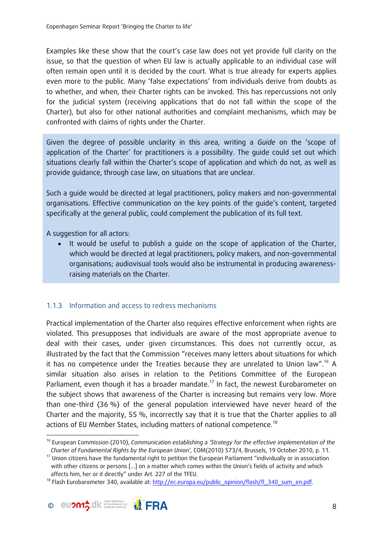Examples like these show that the court's case law does not yet provide full clarity on the issue, so that the question of when EU law is actually applicable to an individual case will often remain open until it is decided by the court. What is true already for experts applies even more to the public. Many 'false expectations' from individuals derive from doubts as to whether, and when, their Charter rights can be invoked. This has repercussions not only for the judicial system (receiving applications that do not fall within the scope of the Charter), but also for other national authorities and complaint mechanisms, which may be confronted with claims of rights under the Charter.

Given the degree of possible unclarity in this area, writing a *Guide* on the 'scope of application of the Charter' for practitioners is a possibility. The guide could set out which situations clearly fall within the Charter's scope of application and which do not, as well as provide guidance, through case law, on situations that are unclear.

Such a guide would be directed at legal practitioners, policy makers and non-governmental organisations. Effective communication on the key points of the guide's content, targeted specifically at the general public, could complement the publication of its full text.

A suggestion for all actors:

 It would be useful to publish a guide on the scope of application of the Charter, which would be directed at legal practitioners, policy makers, and non-governmental organisations; audiovisual tools would also be instrumental in producing awarenessraising materials on the Charter.

#### 1.1.3 Information and access to redress mechanisms

Practical implementation of the Charter also requires effective enforcement when rights are violated. This presupposes that individuals are aware of the most appropriate avenue to deal with their cases, under given circumstances. This does not currently occur, as illustrated by the fact that the Commission "receives many letters about situations for which it has no competence under the Treaties because they are unrelated to Union law".16 A similar situation also arises in relation to the Petitions Committee of the European Parliament, even though it has a broader mandate.<sup>17</sup> In fact, the newest Eurobarometer on the subject shows that awareness of the Charter is increasing but remains very low. More than one-third (36 %) of the general population interviewed have never heard of the Charter and the majority, 55 %, incorrectly say that it is true that the Charter applies to all actions of EU Member States, including matters of national competence.<sup>18</sup>

<sup>&</sup>lt;sup>18</sup> Flash Eurobarometer 340, available at: http://ec.europa.eu/public\_opinion/flash/fl\_340\_sum\_en.pdf.



 16 European Commission (2010), *Communication establishing a 'Strategy for the effective implementation of the* 

*Charter of Fundamental Rights by the European Union',* COM(2010) 573/4, Brussels, 19 October 2010, p. 11.<br><sup>17</sup> Union citizens have the fundamental right to petition the European Parliament "individually or in association with other citizens or persons […] on a matter which comes within the Union's fields of activity and which affects him, her or it directly" under Art. 227 of the TFEU.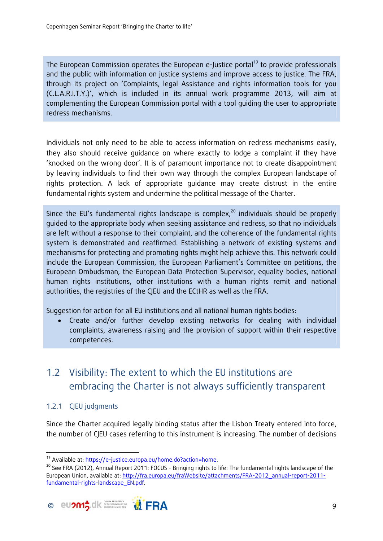The European Commission operates the European e-Justice portal<sup>19</sup> to provide professionals and the public with information on justice systems and improve access to justice. The FRA, through its project on 'Complaints, legal Assistance and rights information tools for you (C.L.A.R.I.T.Y.)', which is included in its annual work programme 2013, will aim at complementing the European Commission portal with a tool guiding the user to appropriate redress mechanisms.

Individuals not only need to be able to access information on redress mechanisms easily, they also should receive guidance on where exactly to lodge a complaint if they have 'knocked on the wrong door'. It is of paramount importance not to create disappointment by leaving individuals to find their own way through the complex European landscape of rights protection. A lack of appropriate guidance may create distrust in the entire fundamental rights system and undermine the political message of the Charter.

Since the EU's fundamental rights landscape is complex, $^{20}$  individuals should be properly guided to the appropriate body when seeking assistance and redress, so that no individuals are left without a response to their complaint, and the coherence of the fundamental rights system is demonstrated and reaffirmed. Establishing a network of existing systems and mechanisms for protecting and promoting rights might help achieve this. This network could include the European Commission, the European Parliament's Committee on petitions, the European Ombudsman, the European Data Protection Supervisor, equality bodies, national human rights institutions, other institutions with a human rights remit and national authorities, the registries of the CJEU and the ECtHR as well as the FRA.

Suggestion for action for all EU institutions and all national human rights bodies:

 Create and/or further develop existing networks for dealing with individual complaints, awareness raising and the provision of support within their respective competences.

### 1.2 Visibility: The extent to which the EU institutions are embracing the Charter is not always sufficiently transparent

#### 1.2.1 CIEU judaments

Since the Charter acquired legally binding status after the Lisbon Treaty entered into force, the number of CJEU cases referring to this instrument is increasing. The number of decisions

<sup>&</sup>lt;sup>20</sup> See FRA (2012), Annual Report 2011: FOCUS - Bringing rights to life: The fundamental rights landscape of the European Union, available at: http://fra.europa.eu/fraWebsite/attachments/FRA-2012\_annual-report-2011 fundamental-rights-landscape\_EN.pdf.



<sup>19</sup> Available at: https://e-justice.europa.eu/home.do?action=home.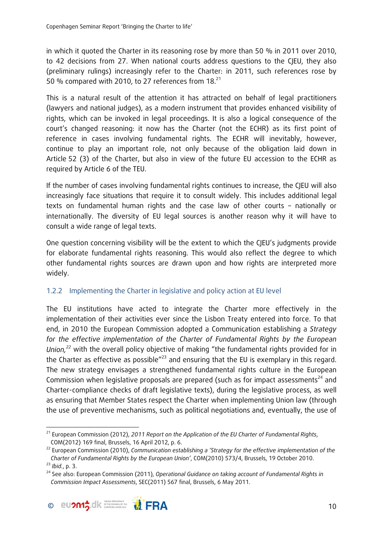in which it quoted the Charter in its reasoning rose by more than 50 % in 2011 over 2010, to 42 decisions from 27. When national courts address questions to the CJEU, they also (preliminary rulings) increasingly refer to the Charter: in 2011, such references rose by 50 % compared with 2010, to 27 references from 18.<sup>21</sup>

This is a natural result of the attention it has attracted on behalf of legal practitioners (lawyers and national judges), as a modern instrument that provides enhanced visibility of rights, which can be invoked in legal proceedings. It is also a logical consequence of the court's changed reasoning: it now has the Charter (not the ECHR) as its first point of reference in cases involving fundamental rights. The ECHR will inevitably, however, continue to play an important role, not only because of the obligation laid down in Article 52 (3) of the Charter, but also in view of the future EU accession to the ECHR as required by Article 6 of the TEU.

If the number of cases involving fundamental rights continues to increase, the CJEU will also increasingly face situations that require it to consult widely. This includes additional legal texts on fundamental human rights and the case law of other courts – nationally or internationally. The diversity of EU legal sources is another reason why it will have to consult a wide range of legal texts.

One question concerning visibility will be the extent to which the CJEU's judgments provide for elaborate fundamental rights reasoning. This would also reflect the degree to which other fundamental rights sources are drawn upon and how rights are interpreted more widely.

#### 1.2.2 Implementing the Charter in legislative and policy action at EU level

The EU institutions have acted to integrate the Charter more effectively in the implementation of their activities ever since the Lisbon Treaty entered into force. To that end, in 2010 the European Commission adopted a Communication establishing a *Strategy for the effective implementation of the Charter of Fundamental Rights by the European Union,<sup>22</sup>* with the overall policy objective of making "the fundamental rights provided for in the Charter as effective as possible"<sup>23</sup> and ensuring that the EU is exemplary in this regard. The new strategy envisages a strengthened fundamental rights culture in the European Commission when legislative proposals are prepared (such as for impact assessments<sup>24</sup> and Charter-compliance checks of draft legislative texts), during the legislative process, as well as ensuring that Member States respect the Charter when implementing Union law (through the use of preventive mechanisms, such as political negotiations and, eventually, the use of

*Commission Impact Assessments*, SEC(2011) 567 final, Brussels, 6 May 2011.



 21 European Commission (2012), *2011 Report on the Application of the EU Charter of Fundamental Rights*, COM(2012) 169 final, Brussels, 16 April 2012, p. 6.

<sup>22</sup> European Commission (2010), *Communication establishing a 'Strategy for the effective implementation of the*  Charter of Fundamental Rights by the European Union', COM(2010) 573/4, Brussels, 19 October 2010.<br><sup>23</sup> Ibid., p. 3.<br><sup>24</sup> See also: European Commission (2011), Operational Guidance on taking account of Fundamental Rights in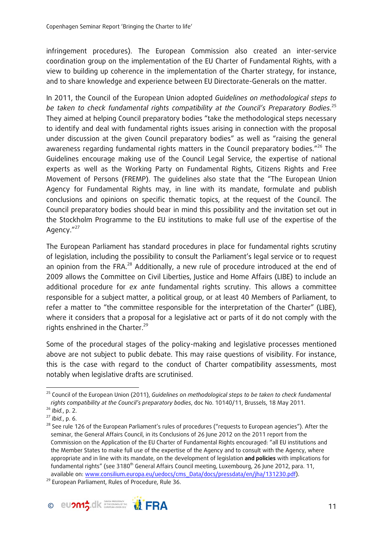infringement procedures). The European Commission also created an inter-service coordination group on the implementation of the EU Charter of Fundamental Rights, with a view to building up coherence in the implementation of the Charter strategy, for instance, and to share knowledge and experience between EU Directorate-Generals on the matter.

In 2011, the Council of the European Union adopted *Guidelines on methodological steps to be taken to check fundamental rights compatibility at the Council's Preparatory Bodies.*<sup>25</sup> They aimed at helping Council preparatory bodies "take the methodological steps necessary to identify and deal with fundamental rights issues arising in connection with the proposal under discussion at the given Council preparatory bodies" as well as "raising the general awareness regarding fundamental rights matters in the Council preparatory bodies."<sup>26</sup> The Guidelines encourage making use of the Council Legal Service, the expertise of national experts as well as the Working Party on Fundamental Rights, Citizens Rights and Free Movement of Persons (FREMP). The guidelines also state that the "The European Union Agency for Fundamental Rights may, in line with its mandate, formulate and publish conclusions and opinions on specific thematic topics, at the request of the Council. The Council preparatory bodies should bear in mind this possibility and the invitation set out in the Stockholm Programme to the EU institutions to make full use of the expertise of the Agency."27

The European Parliament has standard procedures in place for fundamental rights scrutiny of legislation, including the possibility to consult the Parliament's legal service or to request an opinion from the FRA.<sup>28</sup> Additionally, a new rule of procedure introduced at the end of 2009 allows the Committee on Civil Liberties, Justice and Home Affairs (LIBE) to include an additional procedure for *ex ante* fundamental rights scrutiny. This allows a committee responsible for a subject matter, a political group, or at least 40 Members of Parliament, to refer a matter to "the committee responsible for the interpretation of the Charter" (LIBE), where it considers that a proposal for a legislative act or parts of it do not comply with the rights enshrined in the Charter. $29$ 

Some of the procedural stages of the policy-making and legislative processes mentioned above are not subject to public debate. This may raise questions of visibility. For instance, this is the case with regard to the conduct of Charter compatibility assessments, most notably when legislative drafts are scrutinised.



 25 Council of the European Union (2011), *Guidelines on methodological steps to be taken to check fundamental* 

rights compatibility at the Council's preparatory bodies, doc No. 10140/11, Brussels, 18 May 2011.<br><sup>26</sup> Ibid., p. 2.<br><sup>27</sup> Ibid., p. 6.<br><sup>28</sup> See rule 126 of the European Parliament's rules of procedures ("requests to Europ seminar, the General Affairs Council, in its Conclusions of 26 June 2012 on the 2011 report from the Commission on the Application of the EU Charter of Fundamental Rights encouraged: "all EU institutions and the Member States to make full use of the expertise of the Agency and to consult with the Agency, where appropriate and in line with its mandate, on the development of legislation **and policies** with implications for fundamental rights" (see 3180<sup>th</sup> General Affairs Council meeting, Luxembourg, 26 June 2012, para. 11, available on: www.consilium.europa.eu/uedocs/cms\_Data/docs/pressdata/en/jha/131230.pdf).<br><sup>29</sup> European Parliament, Rules of Procedure, Rule 36.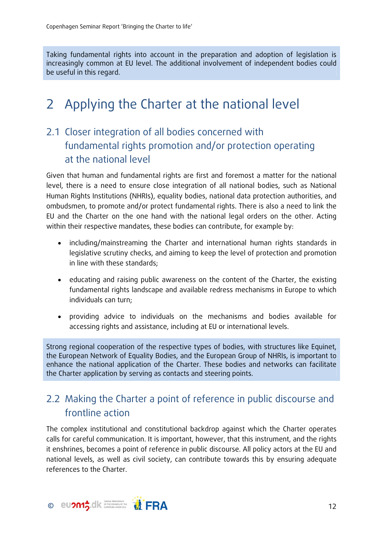Taking fundamental rights into account in the preparation and adoption of legislation is increasingly common at EU level. The additional involvement of independent bodies could be useful in this regard.

## 2 Applying the Charter at the national level

### 2.1 Closer integration of all bodies concerned with fundamental rights promotion and/or protection operating at the national level

Given that human and fundamental rights are first and foremost a matter for the national level, there is a need to ensure close integration of all national bodies, such as National Human Rights Institutions (NHRIs), equality bodies, national data protection authorities, and ombudsmen, to promote and/or protect fundamental rights. There is also a need to link the EU and the Charter on the one hand with the national legal orders on the other. Acting within their respective mandates, these bodies can contribute, for example by:

- including/mainstreaming the Charter and international human rights standards in legislative scrutiny checks, and aiming to keep the level of protection and promotion in line with these standards;
- educating and raising public awareness on the content of the Charter, the existing fundamental rights landscape and available redress mechanisms in Europe to which individuals can turn;
- providing advice to individuals on the mechanisms and bodies available for accessing rights and assistance, including at EU or international levels.

Strong regional cooperation of the respective types of bodies, with structures like Equinet, the European Network of Equality Bodies, and the European Group of NHRIs, is important to enhance the national application of the Charter. These bodies and networks can facilitate the Charter application by serving as contacts and steering points.

### 2.2 Making the Charter a point of reference in public discourse and frontline action

The complex institutional and constitutional backdrop against which the Charter operates calls for careful communication. It is important, however, that this instrument, and the rights it enshrines, becomes a point of reference in public discourse. All policy actors at the EU and national levels, as well as civil society, can contribute towards this by ensuring adequate references to the Charter.

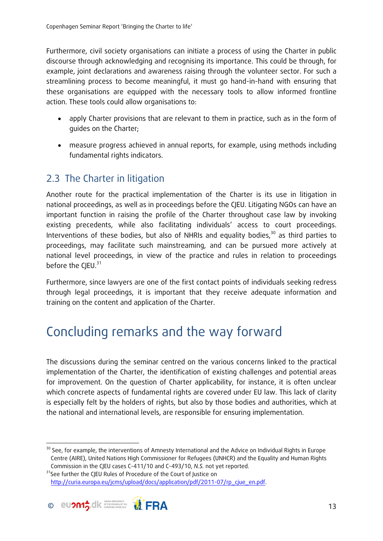Furthermore, civil society organisations can initiate a process of using the Charter in public discourse through acknowledging and recognising its importance. This could be through, for example, joint declarations and awareness raising through the volunteer sector. For such a streamlining process to become meaningful, it must go hand-in-hand with ensuring that these organisations are equipped with the necessary tools to allow informed frontline action. These tools could allow organisations to:

- apply Charter provisions that are relevant to them in practice, such as in the form of guides on the Charter;
- measure progress achieved in annual reports, for example, using methods including fundamental rights indicators.

### 2.3 The Charter in litigation

Another route for the practical implementation of the Charter is its use in litigation in national proceedings, as well as in proceedings before the CJEU. Litigating NGOs can have an important function in raising the profile of the Charter throughout case law by invoking existing precedents, while also facilitating individuals' access to court proceedings. Interventions of these bodies, but also of NHRIs and equality bodies, $30$  as third parties to proceedings, may facilitate such mainstreaming, and can be pursued more actively at national level proceedings, in view of the practice and rules in relation to proceedings before the CIFU.<sup>31</sup>

Furthermore, since lawyers are one of the first contact points of individuals seeking redress through legal proceedings, it is important that they receive adequate information and training on the content and application of the Charter.

## Concluding remarks and the way forward

The discussions during the seminar centred on the various concerns linked to the practical implementation of the Charter, the identification of existing challenges and potential areas for improvement. On the question of Charter applicability, for instance, it is often unclear which concrete aspects of fundamental rights are covered under EU law. This lack of clarity is especially felt by the holders of rights, but also by those bodies and authorities, which at the national and international levels, are responsible for ensuring implementation.

Commission in the CJEU cases C-411/10 and C-493/10, *N.S.* not yet reported.<br><sup>31</sup>See further the CJEU Rules of Procedure of the Court of Justice on http://curia.europa.eu/jcms/upload/docs/application/pdf/2011-07/rp\_cjue\_en.pdf.



 <sup>30</sup> See, for example, the interventions of Amnesty International and the Advice on Individual Rights in Europe Centre (AIRE), United Nations High Commissioner for Refugees (UNHCR) and the Equality and Human Rights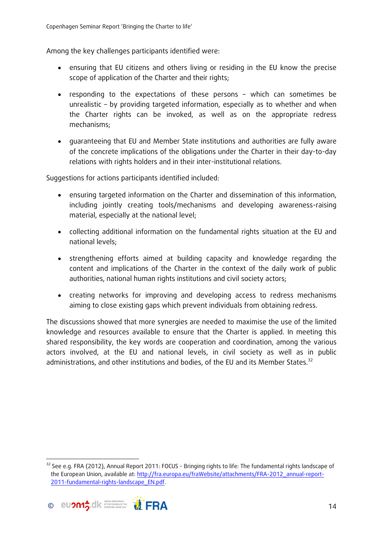Among the key challenges participants identified were:

- ensuring that EU citizens and others living or residing in the EU know the precise scope of application of the Charter and their rights;
- responding to the expectations of these persons which can sometimes be unrealistic – by providing targeted information, especially as to whether and when the Charter rights can be invoked, as well as on the appropriate redress mechanisms;
- guaranteeing that EU and Member State institutions and authorities are fully aware of the concrete implications of the obligations under the Charter in their day-to-day relations with rights holders and in their inter-institutional relations.

Suggestions for actions participants identified included:

- ensuring targeted information on the Charter and dissemination of this information, including jointly creating tools/mechanisms and developing awareness-raising material, especially at the national level;
- collecting additional information on the fundamental rights situation at the EU and national levels;
- strengthening efforts aimed at building capacity and knowledge regarding the content and implications of the Charter in the context of the daily work of public authorities, national human rights institutions and civil society actors;
- creating networks for improving and developing access to redress mechanisms aiming to close existing gaps which prevent individuals from obtaining redress.

The discussions showed that more synergies are needed to maximise the use of the limited knowledge and resources available to ensure that the Charter is applied. In meeting this shared responsibility, the key words are cooperation and coordination, among the various actors involved, at the EU and national levels, in civil society as well as in public administrations, and other institutions and bodies, of the EU and its Member States.<sup>32</sup>

<sup>&</sup>lt;sup>32</sup> See e.g. FRA (2012), Annual Report 2011: FOCUS - Bringing rights to life: The fundamental rights landscape of the European Union, available at: http://fra.europa.eu/fraWebsite/attachments/FRA-2012\_annual-report-2011-fundamental-rights-landscape\_EN.pdf.

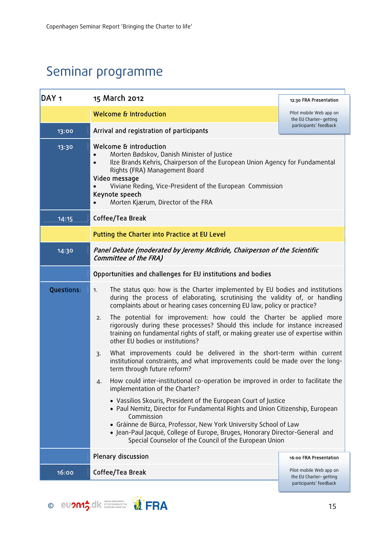## Seminar programme

| DAY <sub>1</sub>  | 15 March 2012                                                                                                                                                                                                                                                                                                                                                                                                                                                                                                                                                                                                                                                                                           | 12:30 FRA Presentation                                                      |
|-------------------|---------------------------------------------------------------------------------------------------------------------------------------------------------------------------------------------------------------------------------------------------------------------------------------------------------------------------------------------------------------------------------------------------------------------------------------------------------------------------------------------------------------------------------------------------------------------------------------------------------------------------------------------------------------------------------------------------------|-----------------------------------------------------------------------------|
|                   | <b>Welcome &amp; Introduction</b>                                                                                                                                                                                                                                                                                                                                                                                                                                                                                                                                                                                                                                                                       | Pilot mobile Web app on<br>the EU Charter-getting                           |
| 13:00             | Arrival and registration of participants                                                                                                                                                                                                                                                                                                                                                                                                                                                                                                                                                                                                                                                                | participants' feedback                                                      |
| 13:30             | Welcome & introduction<br>Morten Bødskov, Danish Minister of Justice<br>Ilze Brands Kehris, Chairperson of the European Union Agency for Fundamental<br>Rights (FRA) Management Board<br>Video message<br>Viviane Reding, Vice-President of the European Commission<br>Keynote speech<br>Morten Kjærum, Director of the FRA                                                                                                                                                                                                                                                                                                                                                                             |                                                                             |
| 14:15             | Coffee/Tea Break                                                                                                                                                                                                                                                                                                                                                                                                                                                                                                                                                                                                                                                                                        |                                                                             |
|                   | Putting the Charter into Practice at EU Level                                                                                                                                                                                                                                                                                                                                                                                                                                                                                                                                                                                                                                                           |                                                                             |
| 14:30             | Panel Debate (moderated by Jeremy McBride, Chairperson of the Scientific<br>Committee of the FRA)                                                                                                                                                                                                                                                                                                                                                                                                                                                                                                                                                                                                       |                                                                             |
|                   | Opportunities and challenges for EU institutions and bodies                                                                                                                                                                                                                                                                                                                                                                                                                                                                                                                                                                                                                                             |                                                                             |
| <b>Questions:</b> | The status quo: how is the Charter implemented by EU bodies and institutions<br>1.<br>during the process of elaborating, scrutinising the validity of, or handling<br>complaints about or hearing cases concerning EU law, policy or practice?<br>The potential for improvement: how could the Charter be applied more<br>2.<br>rigorously during these processes? Should this include for instance increased<br>training on fundamental rights of staff, or making greater use of expertise within<br>other EU bodies or institutions?<br>What improvements could be delivered in the short-term within current<br>3.<br>institutional constraints, and what improvements could be made over the long- |                                                                             |
|                   | term through future reform?<br>How could inter-institutional co-operation be improved in order to facilitate the<br>4.                                                                                                                                                                                                                                                                                                                                                                                                                                                                                                                                                                                  |                                                                             |
|                   | implementation of the Charter?<br>• Vassilios Skouris, President of the European Court of Justice<br>• Paul Nemitz, Director for Fundamental Rights and Union Citizenship, European<br>Commission<br>· Gráinne de Búrca, Professor, New York University School of Law<br>· Jean-Paul Jacqué, College of Europe, Bruges, Honorary Director-General and<br>Special Counselor of the Council of the European Union                                                                                                                                                                                                                                                                                         |                                                                             |
|                   | Plenary discussion                                                                                                                                                                                                                                                                                                                                                                                                                                                                                                                                                                                                                                                                                      | 16:00 FRA Presentation                                                      |
| 16:00             | Coffee/Tea Break                                                                                                                                                                                                                                                                                                                                                                                                                                                                                                                                                                                                                                                                                        | Pilot mobile Web app on<br>the EU Charter-getting<br>participants' feedback |

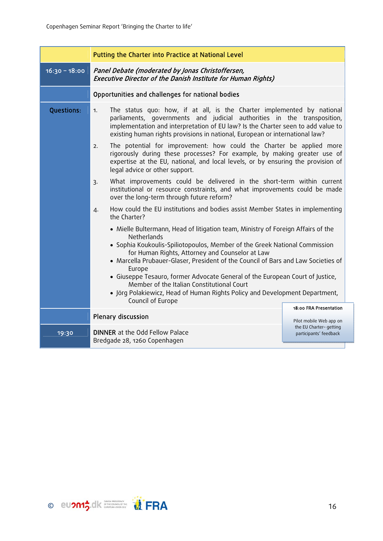|                   | Putting the Charter into Practice at National Level                                                                                                                                                                                                                                                                                                                                                       |                                                                             |
|-------------------|-----------------------------------------------------------------------------------------------------------------------------------------------------------------------------------------------------------------------------------------------------------------------------------------------------------------------------------------------------------------------------------------------------------|-----------------------------------------------------------------------------|
| $16:30 - 18:00$   | Panel Debate (moderated by Jonas Christoffersen,<br>Executive Director of the Danish Institute for Human Rights)                                                                                                                                                                                                                                                                                          |                                                                             |
|                   | Opportunities and challenges for national bodies                                                                                                                                                                                                                                                                                                                                                          |                                                                             |
| <b>Questions:</b> | The status quo: how, if at all, is the Charter implemented by national<br>1.<br>parliaments, governments and judicial authorities in the transposition,<br>implementation and interpretation of EU law? Is the Charter seen to add value to<br>existing human rights provisions in national, European or international law?<br>The potential for improvement: how could the Charter be applied more<br>2. |                                                                             |
|                   | rigorously during these processes? For example, by making greater use of<br>expertise at the EU, national, and local levels, or by ensuring the provision of<br>legal advice or other support.                                                                                                                                                                                                            |                                                                             |
|                   | What improvements could be delivered in the short-term within current<br>$\overline{3}$ .<br>institutional or resource constraints, and what improvements could be made<br>over the long-term through future reform?                                                                                                                                                                                      |                                                                             |
|                   | How could the EU institutions and bodies assist Member States in implementing<br>$\overline{4}$ .<br>the Charter?                                                                                                                                                                                                                                                                                         |                                                                             |
|                   | • Mielle Bultermann, Head of litigation team, Ministry of Foreign Affairs of the<br>Netherlands<br>• Sophia Koukoulis-Spiliotopoulos, Member of the Greek National Commission<br>for Human Rights, Attorney and Counselor at Law<br>• Marcella Prubauer-Glaser, President of the Council of Bars and Law Societies of<br>Europe                                                                           |                                                                             |
|                   | • Giuseppe Tesauro, former Advocate General of the European Court of Justice,<br>Member of the Italian Constitutional Court<br>• Jörg Polakiewicz, Head of Human Rights Policy and Development Department,<br>Council of Europe                                                                                                                                                                           |                                                                             |
|                   | Plenary discussion                                                                                                                                                                                                                                                                                                                                                                                        | 18:00 FRA Presentation                                                      |
| 19:30             | <b>DINNER</b> at the Odd Fellow Palace<br>Bredgade 28, 1260 Copenhagen                                                                                                                                                                                                                                                                                                                                    | Pilot mobile Web app on<br>the EU Charter-getting<br>participants' feedback |

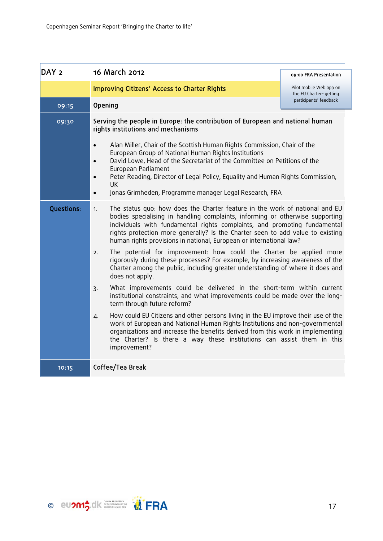| DAY <sub>2</sub>  | 16 March 2012                                                                                                                                                                                                                                                                                                                                                                                                                                    | 09:00 FRA Presentation                            |
|-------------------|--------------------------------------------------------------------------------------------------------------------------------------------------------------------------------------------------------------------------------------------------------------------------------------------------------------------------------------------------------------------------------------------------------------------------------------------------|---------------------------------------------------|
|                   | <b>Improving Citizens' Access to Charter Rights</b>                                                                                                                                                                                                                                                                                                                                                                                              | Pilot mobile Web app on<br>the EU Charter-getting |
| 09:15             | Opening                                                                                                                                                                                                                                                                                                                                                                                                                                          | participants' feedback                            |
| 09:30             | Serving the people in Europe: the contribution of European and national human<br>rights institutions and mechanisms                                                                                                                                                                                                                                                                                                                              |                                                   |
|                   | Alan Miller, Chair of the Scottish Human Rights Commission, Chair of the<br>$\bullet$<br>European Group of National Human Rights Institutions<br>David Lowe, Head of the Secretariat of the Committee on Petitions of the<br>$\bullet$<br>European Parliament<br>Peter Reading, Director of Legal Policy, Equality and Human Rights Commission,<br>$\bullet$<br><b>UK</b><br>Jonas Grimheden, Programme manager Legal Research, FRA<br>$\bullet$ |                                                   |
| <b>Questions:</b> | The status quo: how does the Charter feature in the work of national and EU<br>1.<br>bodies specialising in handling complaints, informing or otherwise supporting<br>individuals with fundamental rights complaints, and promoting fundamental<br>rights protection more generally? Is the Charter seen to add value to existing<br>human rights provisions in national, European or international law?                                         |                                                   |
|                   | The potential for improvement: how could the Charter be applied more<br>2.<br>rigorously during these processes? For example, by increasing awareness of the<br>Charter among the public, including greater understanding of where it does and<br>does not apply.                                                                                                                                                                                |                                                   |
|                   | What improvements could be delivered in the short-term within current<br>3.<br>institutional constraints, and what improvements could be made over the long-<br>term through future reform?                                                                                                                                                                                                                                                      |                                                   |
|                   | How could EU Citizens and other persons living in the EU improve their use of the<br>4.<br>work of European and National Human Rights Institutions and non-governmental<br>organizations and increase the benefits derived from this work in implementing<br>the Charter? Is there a way these institutions can assist them in this<br>improvement?                                                                                              |                                                   |
| 10:15             | Coffee/Tea Break                                                                                                                                                                                                                                                                                                                                                                                                                                 |                                                   |

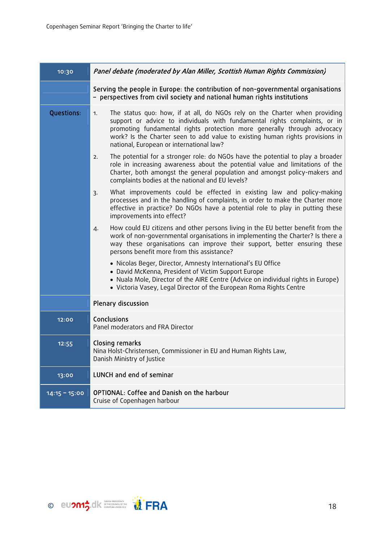| 10:30             | Panel debate (moderated by Alan Miller, Scottish Human Rights Commission)                                                                                                                                                                                                                                                                                              |
|-------------------|------------------------------------------------------------------------------------------------------------------------------------------------------------------------------------------------------------------------------------------------------------------------------------------------------------------------------------------------------------------------|
|                   | Serving the people in Europe: the contribution of non-governmental organisations<br>- perspectives from civil society and national human rights institutions                                                                                                                                                                                                           |
| <b>Questions:</b> | The status quo: how, if at all, do NGOs rely on the Charter when providing<br>1.<br>support or advice to individuals with fundamental rights complaints, or in<br>promoting fundamental rights protection more generally through advocacy<br>work? Is the Charter seen to add value to existing human rights provisions in<br>national, European or international law? |
|                   | The potential for a stronger role: do NGOs have the potential to play a broader<br>2.<br>role in increasing awareness about the potential value and limitations of the<br>Charter, both amongst the general population and amongst policy-makers and<br>complaints bodies at the national and EU levels?                                                               |
|                   | What improvements could be effected in existing law and policy-making<br>3.<br>processes and in the handling of complaints, in order to make the Charter more<br>effective in practice? Do NGOs have a potential role to play in putting these<br>improvements into effect?                                                                                            |
|                   | How could EU citizens and other persons living in the EU better benefit from the<br>4.<br>work of non-governmental organisations in implementing the Charter? Is there a<br>way these organisations can improve their support, better ensuring these<br>persons benefit more from this assistance?                                                                     |
|                   | • Nicolas Beger, Director, Amnesty International's EU Office<br>• David McKenna, President of Victim Support Europe<br>• Nuala Mole, Director of the AIRE Centre (Advice on individual rights in Europe)<br>• Victoria Vasey, Legal Director of the European Roma Rights Centre                                                                                        |
|                   | Plenary discussion                                                                                                                                                                                                                                                                                                                                                     |
| 12:00             | Conclusions<br>Panel moderators and FRA Director                                                                                                                                                                                                                                                                                                                       |
| 12:55             | Closing remarks<br>Nina Holst-Christensen, Commissioner in EU and Human Rights Law,<br>Danish Ministry of Justice                                                                                                                                                                                                                                                      |
| 13:00             | LUNCH and end of seminar                                                                                                                                                                                                                                                                                                                                               |
| $14:15 - 15:00$   | OPTIONAL: Coffee and Danish on the harbour<br>Cruise of Copenhagen harbour                                                                                                                                                                                                                                                                                             |